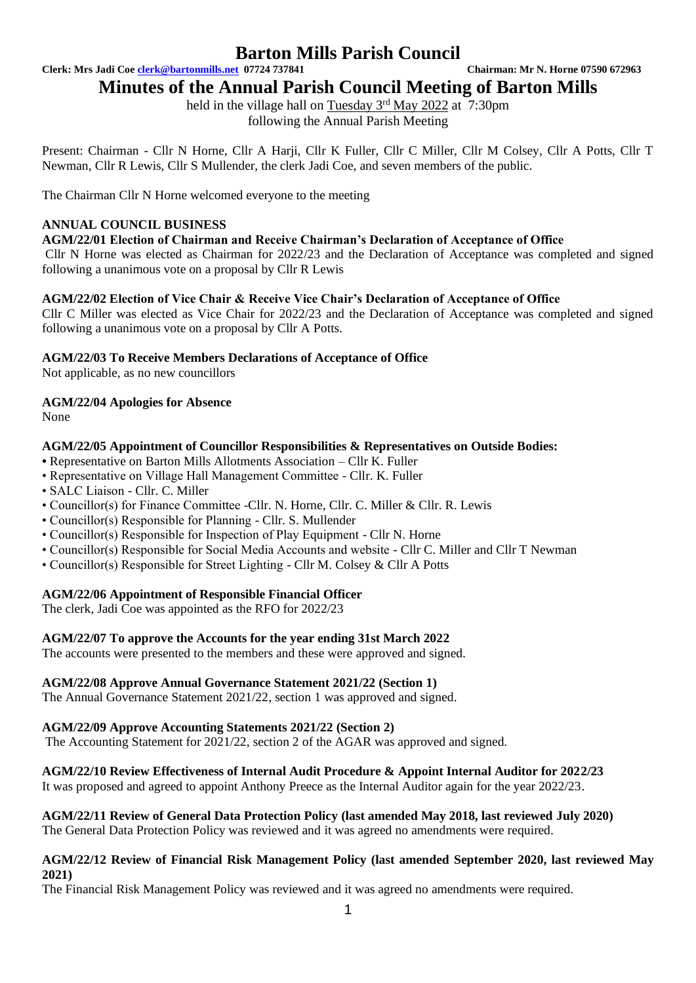**Clerk: Mrs Jadi Coe [clerk@bartonmills.net](mailto:clerk@bartonmills.net) 07724 737841 Chairman: Mr N. Horne 07590 672963**

## **Minutes of the Annual Parish Council Meeting of Barton Mills**

held in the village hall on Tuesday 3<sup>rd</sup> May 2022 at 7:30pm following the Annual Parish Meeting

Present: Chairman - Cllr N Horne, Cllr A Harji, Cllr K Fuller, Cllr C Miller, Cllr M Colsey, Cllr A Potts, Cllr T Newman, Cllr R Lewis, Cllr S Mullender, the clerk Jadi Coe, and seven members of the public.

The Chairman Cllr N Horne welcomed everyone to the meeting

## **ANNUAL COUNCIL BUSINESS**

### **AGM/22/01 Election of Chairman and Receive Chairman's Declaration of Acceptance of Office**

Cllr N Horne was elected as Chairman for 2022/23 and the Declaration of Acceptance was completed and signed following a unanimous vote on a proposal by Cllr R Lewis

#### **AGM/22/02 Election of Vice Chair & Receive Vice Chair's Declaration of Acceptance of Office**

Cllr C Miller was elected as Vice Chair for 2022/23 and the Declaration of Acceptance was completed and signed following a unanimous vote on a proposal by Cllr A Potts.

#### **AGM/22/03 To Receive Members Declarations of Acceptance of Office**

Not applicable, as no new councillors

#### **AGM/22/04 Apologies for Absence**

None

### **AGM/22/05 Appointment of Councillor Responsibilities & Representatives on Outside Bodies:**

- Representative on Barton Mills Allotments Association Cllr K. Fuller
- Representative on Village Hall Management Committee Cllr. K. Fuller
- SALC Liaison Cllr. C. Miller
- Councillor(s) for Finance Committee -Cllr. N. Horne, Cllr. C. Miller & Cllr. R. Lewis
- Councillor(s) Responsible for Planning Cllr. S. Mullender
- Councillor(s) Responsible for Inspection of Play Equipment Cllr N. Horne
- Councillor(s) Responsible for Social Media Accounts and website Cllr C. Miller and Cllr T Newman
- Councillor(s) Responsible for Street Lighting Cllr M. Colsey & Cllr A Potts

### **AGM/22/06 Appointment of Responsible Financial Officer**

The clerk, Jadi Coe was appointed as the RFO for 2022/23

#### **AGM/22/07 To approve the Accounts for the year ending 31st March 2022**

The accounts were presented to the members and these were approved and signed.

#### **AGM/22/08 Approve Annual Governance Statement 2021/22 (Section 1)**

The Annual Governance Statement 2021/22, section 1 was approved and signed.

#### **AGM/22/09 Approve Accounting Statements 2021/22 (Section 2)**

The Accounting Statement for 2021/22, section 2 of the AGAR was approved and signed.

#### **AGM/22/10 Review Effectiveness of Internal Audit Procedure & Appoint Internal Auditor for 2022/23**

It was proposed and agreed to appoint Anthony Preece as the Internal Auditor again for the year 2022/23.

## **AGM/22/11 Review of General Data Protection Policy (last amended May 2018, last reviewed July 2020)**

The General Data Protection Policy was reviewed and it was agreed no amendments were required.

#### **AGM/22/12 Review of Financial Risk Management Policy (last amended September 2020, last reviewed May 2021)**

The Financial Risk Management Policy was reviewed and it was agreed no amendments were required.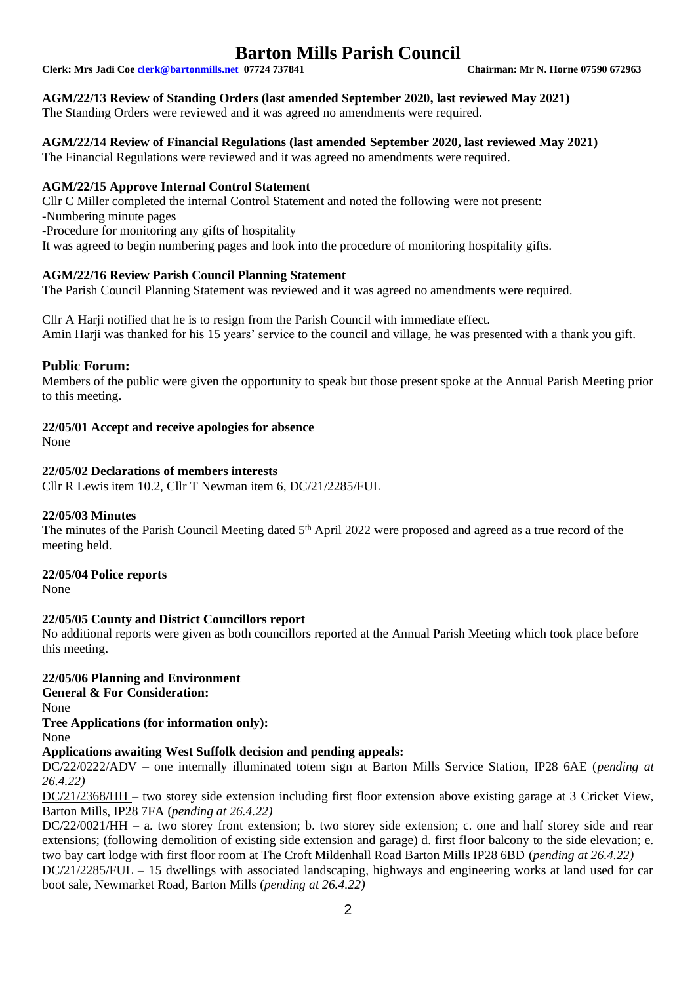**Clerk: Mrs Jadi Coe [clerk@bartonmills.net](mailto:clerk@bartonmills.net) 07724 737841 Chairman: Mr N. Horne 07590 672963**

#### **AGM/22/13 Review of Standing Orders (last amended September 2020, last reviewed May 2021)**

The Standing Orders were reviewed and it was agreed no amendments were required.

## **AGM/22/14 Review of Financial Regulations (last amended September 2020, last reviewed May 2021)**

The Financial Regulations were reviewed and it was agreed no amendments were required.

#### **AGM/22/15 Approve Internal Control Statement**

Cllr C Miller completed the internal Control Statement and noted the following were not present: -Numbering minute pages -Procedure for monitoring any gifts of hospitality It was agreed to begin numbering pages and look into the procedure of monitoring hospitality gifts.

### **AGM/22/16 Review Parish Council Planning Statement**

The Parish Council Planning Statement was reviewed and it was agreed no amendments were required.

Cllr A Harji notified that he is to resign from the Parish Council with immediate effect. Amin Harji was thanked for his 15 years' service to the council and village, he was presented with a thank you gift.

#### **Public Forum:**

Members of the public were given the opportunity to speak but those present spoke at the Annual Parish Meeting prior to this meeting.

#### **22/05/01 Accept and receive apologies for absence**

None

#### **22/05/02 Declarations of members interests**

Cllr R Lewis item 10.2, Cllr T Newman item 6, DC/21/2285/FUL

#### **22/05/03 Minutes**

The minutes of the Parish Council Meeting dated 5<sup>th</sup> April 2022 were proposed and agreed as a true record of the meeting held.

#### **22/05/04 Police reports**

None

#### **22/05/05 County and District Councillors report**

No additional reports were given as both councillors reported at the Annual Parish Meeting which took place before this meeting.

### **22/05/06 Planning and Environment**

**General & For Consideration:**

None

#### **Tree Applications (for information only):**

None

#### **Applications awaiting West Suffolk decision and pending appeals:**

DC/22/0222/ADV – one internally illuminated totem sign at Barton Mills Service Station, IP28 6AE (*pending at 26.4.22)*

DC/21/2368/HH – two storey side extension including first floor extension above existing garage at 3 Cricket View, Barton Mills, IP28 7FA (*pending at 26.4.22)*

DC/22/0021/HH – a. two storey front extension; b. two storey side extension; c. one and half storey side and rear extensions; (following demolition of existing side extension and garage) d. first floor balcony to the side elevation; e. two bay cart lodge with first floor room at The Croft Mildenhall Road Barton Mills IP28 6BD (*pending at 26.4.22)*

DC/21/2285/FUL – 15 dwellings with associated landscaping, highways and engineering works at land used for car boot sale, Newmarket Road, Barton Mills (*pending at 26.4.22)*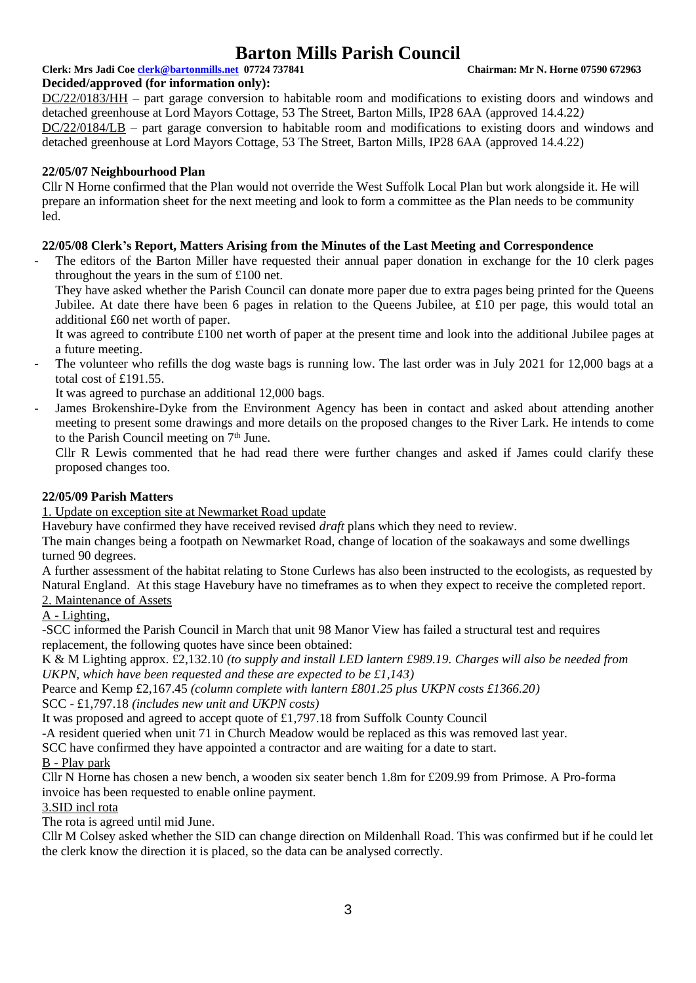## **Clerk: Mrs Jadi Coe [clerk@bartonmills.net](mailto:clerk@bartonmills.net) 07724 737841 Chairman: Mr N. Horne 07590 672963**

#### **Decided/approved (for information only):**

DC/22/0183/HH – part garage conversion to habitable room and modifications to existing doors and windows and detached greenhouse at Lord Mayors Cottage, 53 The Street, Barton Mills, IP28 6AA (approved 14.4.22*)* DC/22/0184/LB – part garage conversion to habitable room and modifications to existing doors and windows and detached greenhouse at Lord Mayors Cottage, 53 The Street, Barton Mills, IP28 6AA (approved 14.4.22)

#### **22/05/07 Neighbourhood Plan**

Cllr N Horne confirmed that the Plan would not override the West Suffolk Local Plan but work alongside it. He will prepare an information sheet for the next meeting and look to form a committee as the Plan needs to be community led.

#### **22/05/08 Clerk's Report, Matters Arising from the Minutes of the Last Meeting and Correspondence**

The editors of the Barton Miller have requested their annual paper donation in exchange for the 10 clerk pages throughout the years in the sum of £100 net.

They have asked whether the Parish Council can donate more paper due to extra pages being printed for the Queens Jubilee. At date there have been 6 pages in relation to the Queens Jubilee, at £10 per page, this would total an additional £60 net worth of paper.

It was agreed to contribute £100 net worth of paper at the present time and look into the additional Jubilee pages at a future meeting.

The volunteer who refills the dog waste bags is running low. The last order was in July 2021 for 12,000 bags at a total cost of £191.55.

It was agreed to purchase an additional 12,000 bags.

James Brokenshire-Dyke from the Environment Agency has been in contact and asked about attending another meeting to present some drawings and more details on the proposed changes to the River Lark. He intends to come to the Parish Council meeting on  $7<sup>th</sup>$  June.

Cllr R Lewis commented that he had read there were further changes and asked if James could clarify these proposed changes too.

#### **22/05/09 Parish Matters**

1. Update on exception site at Newmarket Road update

Havebury have confirmed they have received revised *draft* plans which they need to review.

The main changes being a footpath on Newmarket Road, change of location of the soakaways and some dwellings turned 90 degrees.

A further assessment of the habitat relating to Stone Curlews has also been instructed to the ecologists, as requested by Natural England. At this stage Havebury have no timeframes as to when they expect to receive the completed report. 2. Maintenance of Assets

## A - Lighting,

-SCC informed the Parish Council in March that unit 98 Manor View has failed a structural test and requires replacement, the following quotes have since been obtained:

K & M Lighting approx. £2,132.10 *(to supply and install LED lantern £989.19. Charges will also be needed from UKPN, which have been requested and these are expected to be £1,143)*

Pearce and Kemp £2,167.45 *(column complete with lantern £801.25 plus UKPN costs £1366.20)*

SCC - £1,797.18 *(includes new unit and UKPN costs)*

It was proposed and agreed to accept quote of £1,797.18 from Suffolk County Council

-A resident queried when unit 71 in Church Meadow would be replaced as this was removed last year.

SCC have confirmed they have appointed a contractor and are waiting for a date to start.

#### B - Play park

Cllr N Horne has chosen a new bench, a wooden six seater bench 1.8m for £209.99 from Primose. A Pro-forma invoice has been requested to enable online payment.

#### 3.SID incl rota

The rota is agreed until mid June.

Cllr M Colsey asked whether the SID can change direction on Mildenhall Road. This was confirmed but if he could let the clerk know the direction it is placed, so the data can be analysed correctly.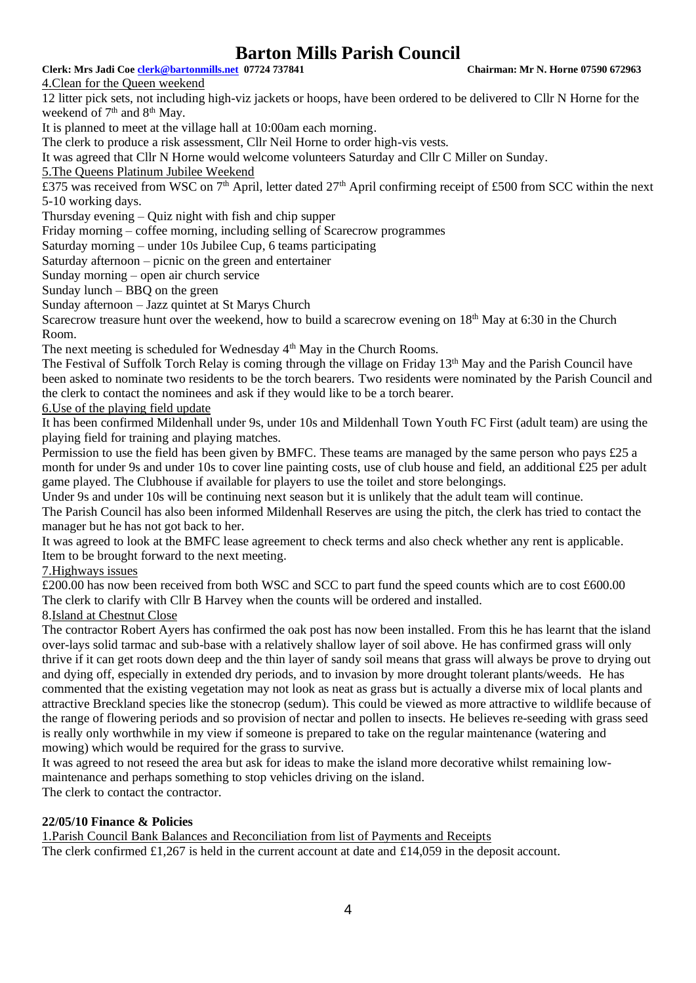**Clerk: Mrs Jadi Coe [clerk@bartonmills.net](mailto:clerk@bartonmills.net) 07724 737841 Chairman: Mr N. Horne 07590 672963**

4.Clean for the Queen weekend

12 litter pick sets, not including high-viz jackets or hoops, have been ordered to be delivered to Cllr N Horne for the weekend of 7<sup>th</sup> and 8<sup>th</sup> May.

It is planned to meet at the village hall at 10:00am each morning.

The clerk to produce a risk assessment, Cllr Neil Horne to order high-vis vests.

It was agreed that Cllr N Horne would welcome volunteers Saturday and Cllr C Miller on Sunday.

5.The Queens Platinum Jubilee Weekend

 $\overline{£375}$  was received from WSC on 7<sup>th</sup> April, letter dated 27<sup>th</sup> April confirming receipt of £500 from SCC within the next 5-10 working days.

Thursday evening – Quiz night with fish and chip supper

Friday morning – coffee morning, including selling of Scarecrow programmes

Saturday morning – under 10s Jubilee Cup, 6 teams participating

Saturday afternoon – picnic on the green and entertainer

Sunday morning – open air church service

Sunday lunch – BBQ on the green

Sunday afternoon – Jazz quintet at St Marys Church

Scarecrow treasure hunt over the weekend, how to build a scarecrow evening on  $18<sup>th</sup>$  May at 6:30 in the Church Room.

The next meeting is scheduled for Wednesday 4<sup>th</sup> May in the Church Rooms.

The Festival of Suffolk Torch Relay is coming through the village on Friday 13<sup>th</sup> May and the Parish Council have been asked to nominate two residents to be the torch bearers. Two residents were nominated by the Parish Council and the clerk to contact the nominees and ask if they would like to be a torch bearer.

6.Use of the playing field update

It has been confirmed Mildenhall under 9s, under 10s and Mildenhall Town Youth FC First (adult team) are using the playing field for training and playing matches.

Permission to use the field has been given by BMFC. These teams are managed by the same person who pays £25 a month for under 9s and under 10s to cover line painting costs, use of club house and field, an additional £25 per adult game played. The Clubhouse if available for players to use the toilet and store belongings.

Under 9s and under 10s will be continuing next season but it is unlikely that the adult team will continue. The Parish Council has also been informed Mildenhall Reserves are using the pitch, the clerk has tried to contact the manager but he has not got back to her.

It was agreed to look at the BMFC lease agreement to check terms and also check whether any rent is applicable. Item to be brought forward to the next meeting.

7.Highways issues

£200.00 has now been received from both WSC and SCC to part fund the speed counts which are to cost £600.00 The clerk to clarify with Cllr B Harvey when the counts will be ordered and installed.

8.Island at Chestnut Close

The contractor Robert Ayers has confirmed the oak post has now been installed. From this he has learnt that the island over-lays solid tarmac and sub-base with a relatively shallow layer of soil above. He has confirmed grass will only thrive if it can get roots down deep and the thin layer of sandy soil means that grass will always be prove to drying out and dying off, especially in extended dry periods, and to invasion by more drought tolerant plants/weeds. He has commented that the existing vegetation may not look as neat as grass but is actually a diverse mix of local plants and attractive Breckland species like the stonecrop (sedum). This could be viewed as more attractive to wildlife because of the range of flowering periods and so provision of nectar and pollen to insects. He believes re-seeding with grass seed is really only worthwhile in my view if someone is prepared to take on the regular maintenance (watering and mowing) which would be required for the grass to survive.

It was agreed to not reseed the area but ask for ideas to make the island more decorative whilst remaining lowmaintenance and perhaps something to stop vehicles driving on the island.

The clerk to contact the contractor.

### **22/05/10 Finance & Policies**

1.Parish Council Bank Balances and Reconciliation from list of Payments and Receipts The clerk confirmed £1,267 is held in the current account at date and £14,059 in the deposit account.